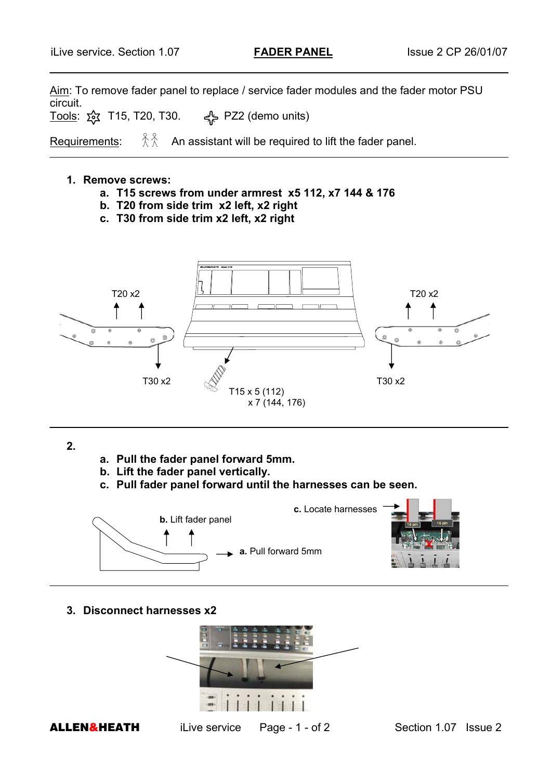Aim: To remove fader panel to replace / service fader modules and the fader motor PSU circuit.

<u>Tools</u>: ১ই T15, T20, T30. <del>বু</del>\ PZ2 (demo units)

Requirements:  $\hat{\mathbb{X}}\hat{\mathbb{X}}$  An assistant will be required to lift the fader panel.

## **1. Remove screws:**

L

- **a. T15 screws from under armrest x5 112, x7 144 & 176**
- **b. T20 from side trim x2 left, x2 right**
- **c. T30 from side trim x2 left, x2 right**



**2.** 

- **a. Pull the fader panel forward 5mm.**
- **b. Lift the fader panel vertically.**
- **c. Pull fader panel forward until the harnesses can be seen.**



**3. Disconnect harnesses x2** 



**ALLEN&HEATH** iLive service Page - 1 - of 2 Section 1.07 Issue 2